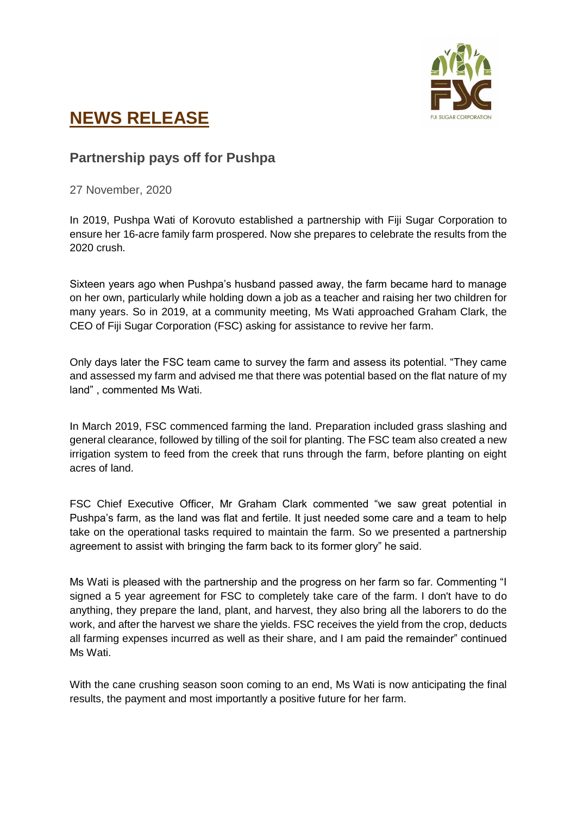

## **NEWS RELEASE**

## **Partnership pays off for Pushpa**

27 November, 2020

In 2019, Pushpa Wati of Korovuto established a partnership with Fiji Sugar Corporation to ensure her 16-acre family farm prospered. Now she prepares to celebrate the results from the 2020 crush.

Sixteen years ago when Pushpa's husband passed away, the farm became hard to manage on her own, particularly while holding down a job as a teacher and raising her two children for many years. So in 2019, at a community meeting, Ms Wati approached Graham Clark, the CEO of Fiji Sugar Corporation (FSC) asking for assistance to revive her farm.

Only days later the FSC team came to survey the farm and assess its potential. "They came and assessed my farm and advised me that there was potential based on the flat nature of my land" , commented Ms Wati.

In March 2019, FSC commenced farming the land. Preparation included grass slashing and general clearance, followed by tilling of the soil for planting. The FSC team also created a new irrigation system to feed from the creek that runs through the farm, before planting on eight acres of land.

FSC Chief Executive Officer, Mr Graham Clark commented "we saw great potential in Pushpa's farm, as the land was flat and fertile. It just needed some care and a team to help take on the operational tasks required to maintain the farm. So we presented a partnership agreement to assist with bringing the farm back to its former glory" he said.

Ms Wati is pleased with the partnership and the progress on her farm so far. Commenting "I signed a 5 year agreement for FSC to completely take care of the farm. I don't have to do anything, they prepare the land, plant, and harvest, they also bring all the laborers to do the work, and after the harvest we share the yields. FSC receives the yield from the crop, deducts all farming expenses incurred as well as their share, and I am paid the remainder" continued Ms Wati.

With the cane crushing season soon coming to an end, Ms Wati is now anticipating the final results, the payment and most importantly a positive future for her farm.